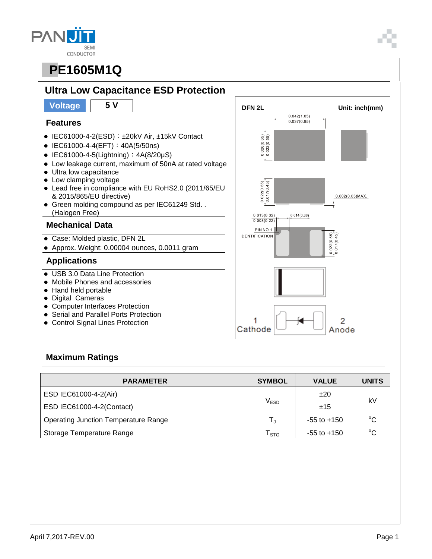| AN 7        |
|-------------|
| <b>SEMI</b> |
| CONDUCTOR   |



#### **Maximum Ratings**

| <b>PARAMETER</b>                            | <b>SYMBOL</b>               | <b>VALUE</b>    | <b>UNITS</b> |  |
|---------------------------------------------|-----------------------------|-----------------|--------------|--|
| ESD IEC61000-4-2(Air)                       |                             | ±20             | kV           |  |
| ESD IEC61000-4-2(Contact)                   | $\mathsf{V}_{\mathsf{ESD}}$ | ±15             |              |  |
| <b>Operating Junction Temperature Range</b> |                             | $-55$ to $+150$ | $^{\circ}C$  |  |
| Storage Temperature Range                   | STG                         | $-55$ to $+150$ | $\sim$       |  |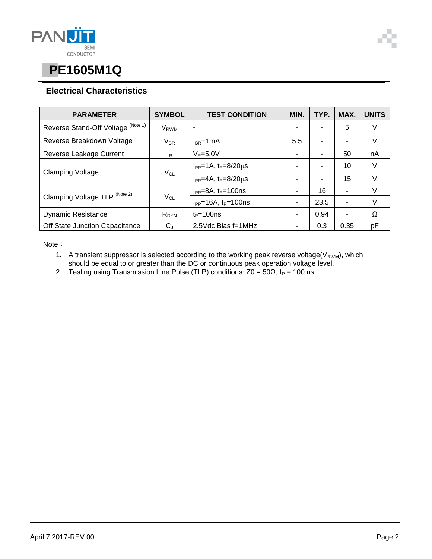

#### **Electrical Characteristics**

| <b>PARAMETER</b>                   | <b>SYMBOL</b>              | <b>TEST CONDITION</b>              | MIN. | TYP. | MAX. | <b>UNITS</b> |
|------------------------------------|----------------------------|------------------------------------|------|------|------|--------------|
| Reverse Stand-Off Voltage (Note 1) | V <sub>RWM</sub>           | ٠                                  |      |      | 5    | V            |
| Reverse Breakdown Voltage          | $V_{BR}$                   | $I_{BR}$ =1mA                      | 5.5  |      | ٠    | V            |
| Reverse Leakage Current            | <sup>I</sup> R             | $V_R = 5.0V$                       |      |      | 50   | nA           |
| <b>Clamping Voltage</b>            | $V_{CL}$                   | $I_{PP} = 1A$ , $t_P = 8/20 \mu s$ |      |      | 10   | V            |
|                                    |                            | $I_{PP} = 4A$ , $t_P = 8/20 \mu s$ |      |      | 15   | v            |
| Clamping Voltage TLP (Note 2)      | $\mathsf{V}_{\mathsf{CL}}$ | $I_{PP} = 8A$ , $t_P = 100$ ns     |      | 16   | ۰    | v            |
|                                    |                            | $I_{PP} = 16A$ , $t_P = 100$ ns    | ۰    | 23.5 | ٠    | v            |
| <b>Dynamic Resistance</b>          | $R_{DYN}$                  | $t_P = 100$ ns                     | ۰    | 0.94 | ۰    | Ω            |
| Off State Junction Capacitance     | $\rm C_{J}$                | 2.5Vdc Bias f=1MHz                 |      | 0.3  | 0.35 | рF           |

Note:

- 1. A transient suppressor is selected according to the working peak reverse voltage( $V_{RWM}$ ), which should be equal to or greater than the DC or continuous peak operation voltage level.
- 2. Testing using Transmission Line Pulse (TLP) conditions:  $Z_0 = 50\Omega$ , t<sub>P</sub> = 100 ns.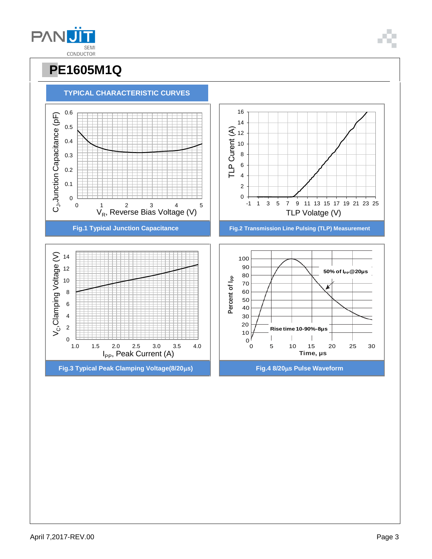

1.0 1.5 2.0 2.5 3.0 3.5 4.0 I<sub>PP</sub>, Peak Current (A)







 $0 \n1.0$ 

2



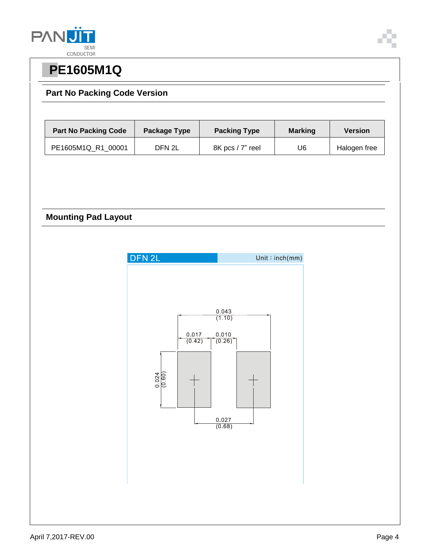

### **Part No Packing Code Version**

| <b>Part No Packing Code</b> | Package Type | <b>Packing Type</b> | <b>Marking</b> | <b>Version</b> |
|-----------------------------|--------------|---------------------|----------------|----------------|
| PE1605M1Q R1 00001          | DFN 2L       | 8K pcs / 7" reel    | U6             | Halogen free   |

### **Mounting Pad Layout**